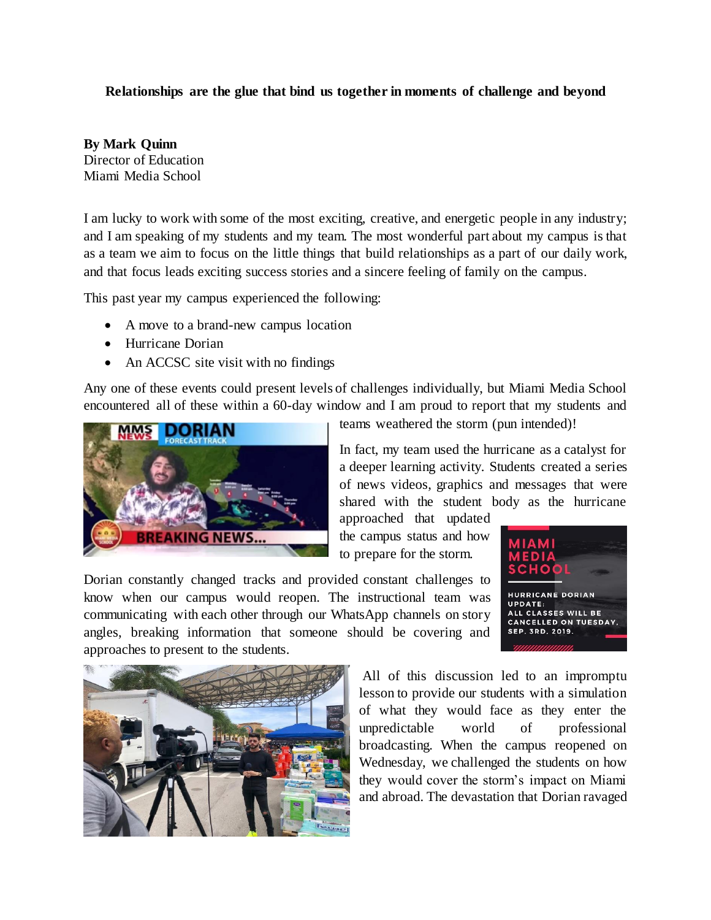## **Relationships are the glue that bind us together in moments of challenge and beyond**

**By Mark Quinn** Director of Education Miami Media School

I am lucky to work with some of the most exciting, creative, and energetic people in any industry; and I am speaking of my students and my team. The most wonderful part about my campus is that as a team we aim to focus on the little things that build relationships as a part of our daily work, and that focus leads exciting success stories and a sincere feeling of family on the campus.

This past year my campus experienced the following:

- A move to a brand-new campus location
- Hurricane Dorian
- An ACCSC site visit with no findings

Any one of these events could present levels of challenges individually, but Miami Media School encountered all of these within a 60-day window and I am proud to report that my students and



teams weathered the storm (pun intended)!

In fact, my team used the hurricane as a catalyst for a deeper learning activity. Students created a series of news videos, graphics and messages that were shared with the student body as the hurricane

approached that updated the campus status and how to prepare for the storm.

Dorian constantly changed tracks and provided constant challenges to know when our campus would reopen. The instructional team was communicating with each other through our WhatsApp channels on story angles, breaking information that someone should be covering and approaches to present to the students.





All of this discussion led to an impromptu lesson to provide our students with a simulation of what they would face as they enter the unpredictable world of professional broadcasting. When the campus reopened on Wednesday, we challenged the students on how they would cover the storm's impact on Miami and abroad. The devastation that Dorian ravaged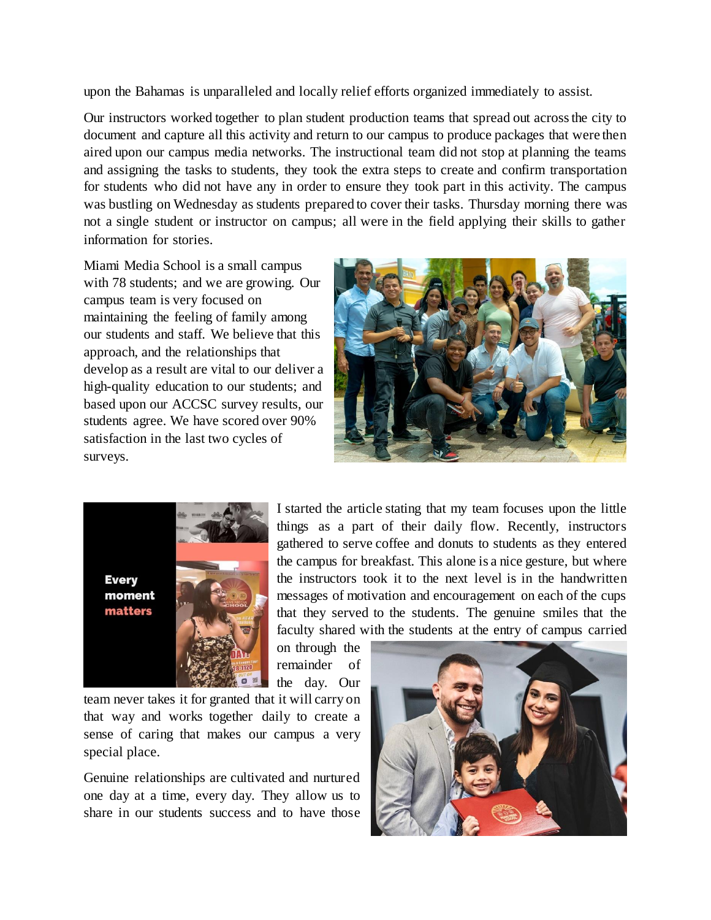upon the Bahamas is unparalleled and locally relief efforts organized immediately to assist.

Our instructors worked together to plan student production teams that spread out across the city to document and capture all this activity and return to our campus to produce packages that were then aired upon our campus media networks. The instructional team did not stop at planning the teams and assigning the tasks to students, they took the extra steps to create and confirm transportation for students who did not have any in order to ensure they took part in this activity. The campus was bustling on Wednesday as students prepared to cover their tasks. Thursday morning there was not a single student or instructor on campus; all were in the field applying their skills to gather information for stories.

Miami Media School is a small campus with 78 students; and we are growing. Our campus team is very focused on maintaining the feeling of family among our students and staff. We believe that this approach, and the relationships that develop as a result are vital to our deliver a high-quality education to our students; and based upon our ACCSC survey results, our students agree. We have scored over 90% satisfaction in the last two cycles of surveys.





I started the article stating that my team focuses upon the little things as a part of their daily flow. Recently, instructors gathered to serve coffee and donuts to students as they entered the campus for breakfast. This alone is a nice gesture, but where the instructors took it to the next level is in the handwritten messages of motivation and encouragement on each of the cups that they served to the students. The genuine smiles that the faculty shared with the students at the entry of campus carried

on through the remainder of the day. Our

team never takes it for granted that it will carry on that way and works together daily to create a sense of caring that makes our campus a very special place.

Genuine relationships are cultivated and nurtured one day at a time, every day. They allow us to share in our students success and to have those